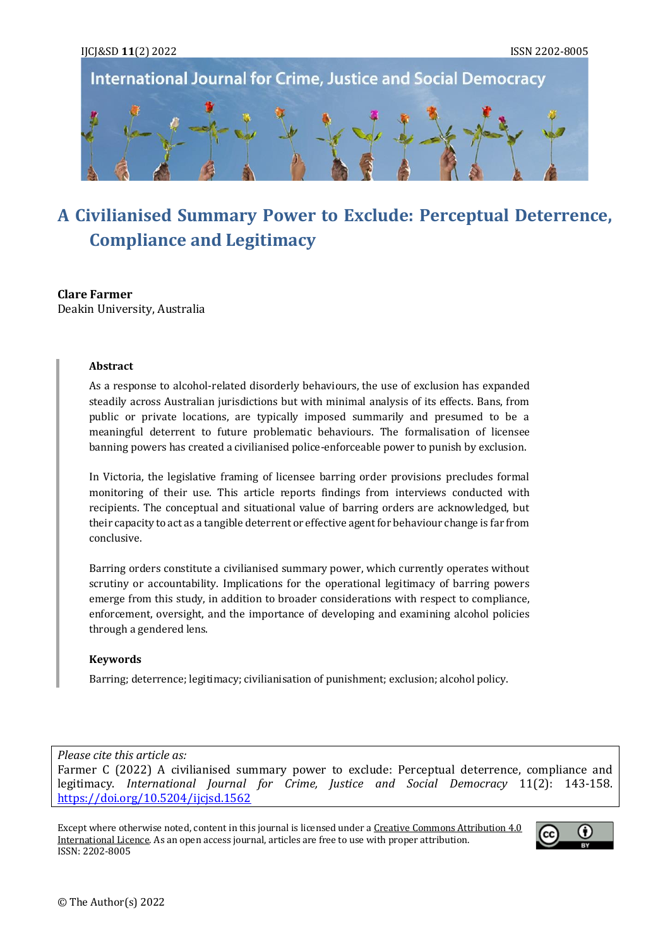

# **A Civilianised Summary Power to Exclude: Perceptual Deterrence, Compliance and Legitimacy**

## **Clare Farmer**

Deakin University, Australia

#### **Abstract**

As a response to alcohol-related disorderly behaviours, the use of exclusion has expanded steadily across Australian jurisdictions but with minimal analysis of its effects. Bans, from public or private locations, are typically imposed summarily and presumed to be a meaningful deterrent to future problematic behaviours. The formalisation of licensee banning powers has created a civilianised police-enforceable power to punish by exclusion.

In Victoria, the legislative framing of licensee barring order provisions precludes formal monitoring of their use. This article reports findings from interviews conducted with recipients. The conceptual and situational value of barring orders are acknowledged, but their capacity to act as a tangible deterrent or effective agent for behaviour change is far from conclusive.

Barring orders constitute a civilianised summary power, which currently operates without scrutiny or accountability. Implications for the operational legitimacy of barring powers emerge from this study, in addition to broader considerations with respect to compliance, enforcement, oversight, and the importance of developing and examining alcohol policies through a gendered lens.

#### **Keywords**

Barring; deterrence; legitimacy; civilianisation of punishment; exclusion; alcohol policy.

## *Please cite this article as:*

Farmer C (2022) A civilianised summary power to exclude: Perceptual deterrence, compliance and legitimacy. *International Journal for Crime, Justice and Social Democracy* 11(2): 143-158. <https://doi.org/10.5204/ijcjsd.1562>

Except where otherwise noted, content in this journal is licensed under [a Creative Commons Attribution 4.0](https://creativecommons.org/licenses/by/4.0/)  [International Licence.](https://creativecommons.org/licenses/by/4.0/) As an open access journal, articles are free to use with proper attribution. ISSN: 2202-8005

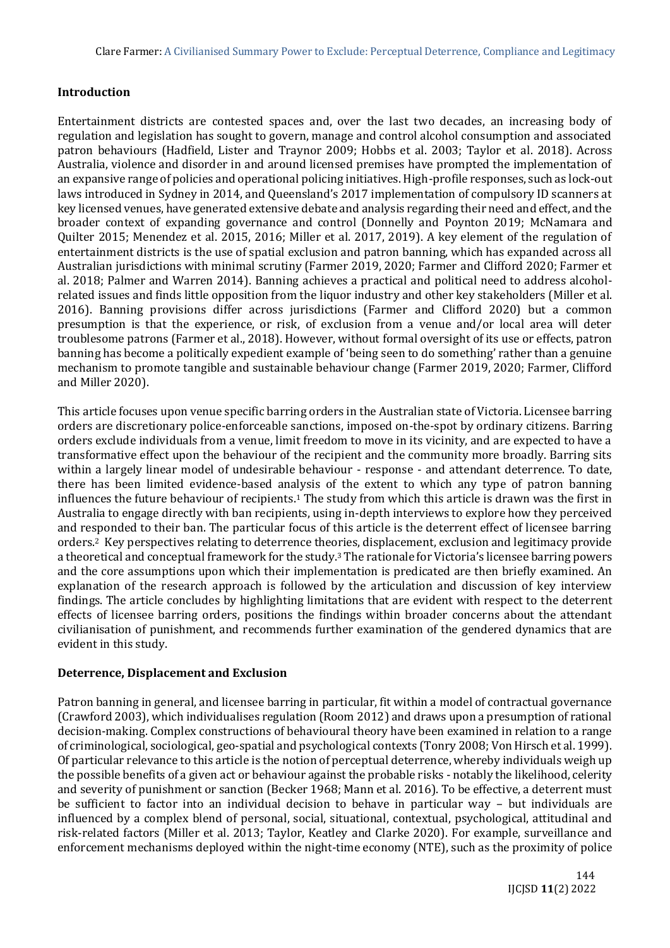## **Introduction**

Entertainment districts are contested spaces and, over the last two decades, an increasing body of regulation and legislation has sought to govern, manage and control alcohol consumption and associated patron behaviours (Hadfield, Lister and Traynor 2009; Hobbs et al. 2003; Taylor et al. 2018). Across Australia, violence and disorder in and around licensed premises have prompted the implementation of an expansive range of policies and operational policing initiatives. High-profile responses, such as lock-out laws introduced in Sydney in 2014, and Queensland's 2017 implementation of compulsory ID scanners at key licensed venues, have generated extensive debate and analysis regarding their need and effect, and the broader context of expanding governance and control (Donnelly and Poynton 2019; McNamara and Quilter 2015; Menendez et al. 2015, 2016; Miller et al. 2017, 2019). A key element of the regulation of entertainment districts is the use of spatial exclusion and patron banning, which has expanded across all Australian jurisdictions with minimal scrutiny (Farmer 2019, 2020; Farmer and Clifford 2020; Farmer et al. 2018; Palmer and Warren 2014). Banning achieves a practical and political need to address alcoholrelated issues and finds little opposition from the liquor industry and other key stakeholders (Miller et al. 2016). Banning provisions differ across jurisdictions (Farmer and Clifford 2020) but a common presumption is that the experience, or risk, of exclusion from a venue and/or local area will deter troublesome patrons (Farmer et al., 2018). However, without formal oversight of its use or effects, patron banning has become a politically expedient example of 'being seen to do something' rather than a genuine mechanism to promote tangible and sustainable behaviour change (Farmer 2019, 2020; Farmer, Clifford and Miller 2020).

This article focuses upon venue specific barring orders in the Australian state of Victoria. Licensee barring orders are discretionary police-enforceable sanctions, imposed on-the-spot by ordinary citizens. Barring orders exclude individuals from a venue, limit freedom to move in its vicinity, and are expected to have a transformative effect upon the behaviour of the recipient and the community more broadly. Barring sits within a largely linear model of undesirable behaviour - response - and attendant deterrence. To date, there has been limited evidence-based analysis of the extent to which any type of patron banning influences the future behaviour of recipients.<sup>1</sup> The study from which this article is drawn was the first in Australia to engage directly with ban recipients, using in-depth interviews to explore how they perceived and responded to their ban. The particular focus of this article is the deterrent effect of licensee barring orders.<sup>2</sup> Key perspectives relating to deterrence theories, displacement, exclusion and legitimacy provide a theoretical and conceptual framework for the study.<sup>3</sup> The rationale for Victoria's licensee barring powers and the core assumptions upon which their implementation is predicated are then briefly examined. An explanation of the research approach is followed by the articulation and discussion of key interview findings. The article concludes by highlighting limitations that are evident with respect to the deterrent effects of licensee barring orders, positions the findings within broader concerns about the attendant civilianisation of punishment, and recommends further examination of the gendered dynamics that are evident in this study.

## **Deterrence, Displacement and Exclusion**

Patron banning in general, and licensee barring in particular, fit within a model of contractual governance (Crawford 2003), which individualises regulation (Room 2012) and draws upon a presumption of rational decision-making. Complex constructions of behavioural theory have been examined in relation to a range of criminological, sociological, geo-spatial and psychological contexts (Tonry 2008; Von Hirsch et al. 1999). Of particular relevance to this article is the notion of perceptual deterrence, whereby individuals weigh up the possible benefits of a given act or behaviour against the probable risks - notably the likelihood, celerity and severity of punishment or sanction (Becker 1968; Mann et al. 2016). To be effective, a deterrent must be sufficient to factor into an individual decision to behave in particular way – but individuals are influenced by a complex blend of personal, social, situational, contextual, psychological, attitudinal and risk-related factors (Miller et al. 2013; Taylor, Keatley and Clarke 2020). For example, surveillance and enforcement mechanisms deployed within the night-time economy (NTE), such as the proximity of police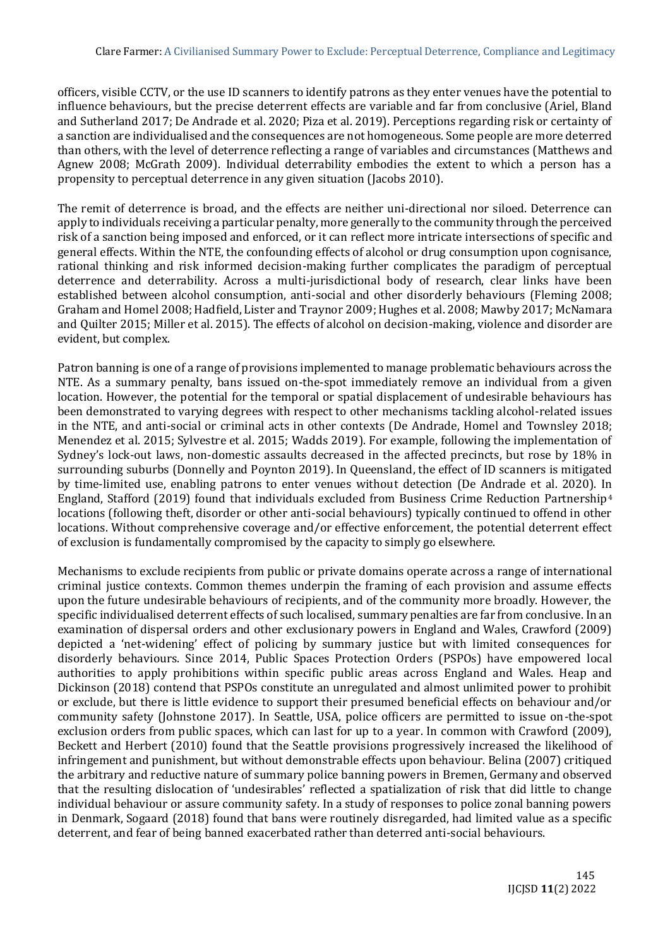officers, visible CCTV, or the use ID scanners to identify patrons as they enter venues have the potential to influence behaviours, but the precise deterrent effects are variable and far from conclusive (Ariel, Bland and Sutherland 2017; De Andrade et al. 2020; Piza et al. 2019). Perceptions regarding risk or certainty of a sanction are individualised and the consequences are not homogeneous. Some people are more deterred than others, with the level of deterrence reflecting a range of variables and circumstances (Matthews and Agnew 2008; McGrath 2009). Individual deterrability embodies the extent to which a person has a propensity to perceptual deterrence in any given situation (Jacobs 2010).

The remit of deterrence is broad, and the effects are neither uni-directional nor siloed. Deterrence can apply to individuals receiving a particular penalty, more generally to the community through the perceived risk of a sanction being imposed and enforced, or it can reflect more intricate intersections of specific and general effects. Within the NTE, the confounding effects of alcohol or drug consumption upon cognisance, rational thinking and risk informed decision-making further complicates the paradigm of perceptual deterrence and deterrability. Across a multi-jurisdictional body of research, clear links have been established between alcohol consumption, anti-social and other disorderly behaviours (Fleming 2008; Graham and Homel 2008; Hadfield, Lister and Traynor 2009; Hughes et al. 2008; Mawby 2017; McNamara and Quilter 2015; Miller et al. 2015). The effects of alcohol on decision-making, violence and disorder are evident, but complex.

Patron banning is one of a range of provisions implemented to manage problematic behaviours across the NTE. As a summary penalty, bans issued on-the-spot immediately remove an individual from a given location. However, the potential for the temporal or spatial displacement of undesirable behaviours has been demonstrated to varying degrees with respect to other mechanisms tackling alcohol-related issues in the NTE, and anti-social or criminal acts in other contexts (De Andrade, Homel and Townsley 2018; Menendez et al. 2015; Sylvestre et al. 2015; Wadds 2019). For example, following the implementation of Sydney's lock-out laws, non-domestic assaults decreased in the affected precincts, but rose by 18% in surrounding suburbs (Donnelly and Poynton 2019). In Queensland, the effect of ID scanners is mitigated by time-limited use, enabling patrons to enter venues without detection (De Andrade et al. 2020). In England, Stafford (2019) found that individuals excluded from Business Crime Reduction Partnership<sup>4</sup> locations (following theft, disorder or other anti-social behaviours) typically continued to offend in other locations. Without comprehensive coverage and/or effective enforcement, the potential deterrent effect of exclusion is fundamentally compromised by the capacity to simply go elsewhere.

Mechanisms to exclude recipients from public or private domains operate across a range of international criminal justice contexts. Common themes underpin the framing of each provision and assume effects upon the future undesirable behaviours of recipients, and of the community more broadly. However, the specific individualised deterrent effects of such localised, summary penalties are far from conclusive. In an examination of dispersal orders and other exclusionary powers in England and Wales, Crawford (2009) depicted a 'net-widening' effect of policing by summary justice but with limited consequences for disorderly behaviours. Since 2014, Public Spaces Protection Orders (PSPOs) have empowered local authorities to apply prohibitions within specific public areas across England and Wales. Heap and Dickinson (2018) contend that PSPOs constitute an unregulated and almost unlimited power to prohibit or exclude, but there is little evidence to support their presumed beneficial effects on behaviour and/or community safety (Johnstone 2017). In Seattle, USA, police officers are permitted to issue on-the-spot exclusion orders from public spaces, which can last for up to a year. In common with Crawford (2009), Beckett and Herbert (2010) found that the Seattle provisions progressively increased the likelihood of infringement and punishment, but without demonstrable effects upon behaviour. Belina (2007) critiqued the arbitrary and reductive nature of summary police banning powers in Bremen, Germany and observed that the resulting dislocation of 'undesirables' reflected a spatialization of risk that did little to change individual behaviour or assure community safety. In a study of responses to police zonal banning powers in Denmark, Sogaard (2018) found that bans were routinely disregarded, had limited value as a specific deterrent, and fear of being banned exacerbated rather than deterred anti-social behaviours.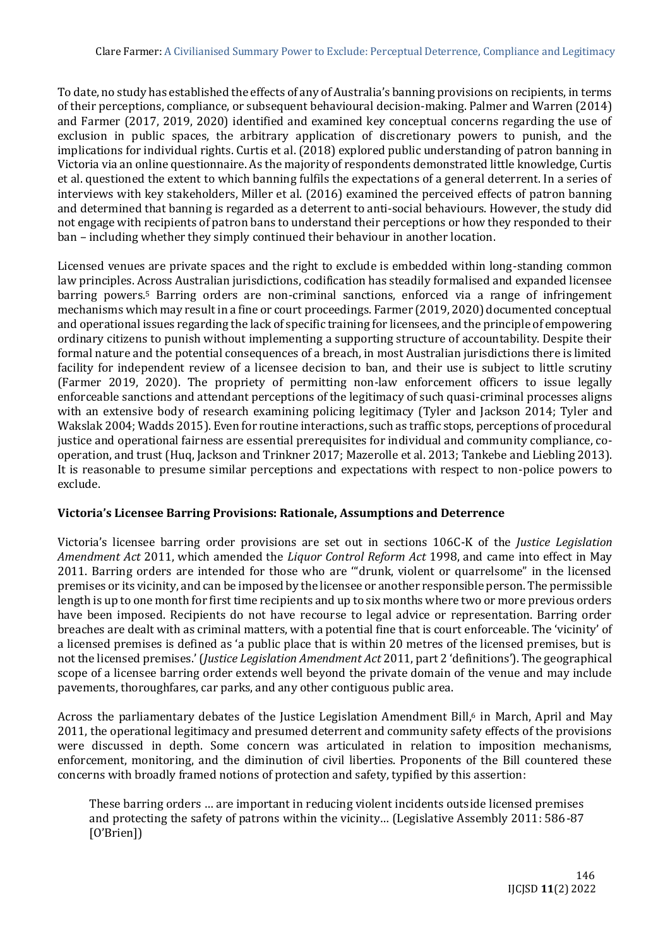To date, no study has established the effects of any of Australia's banning provisions on recipients, in terms of their perceptions, compliance, or subsequent behavioural decision-making. Palmer and Warren (2014) and Farmer (2017, 2019, 2020) identified and examined key conceptual concerns regarding the use of exclusion in public spaces, the arbitrary application of discretionary powers to punish, and the implications for individual rights. Curtis et al. (2018) explored public understanding of patron banning in Victoria via an online questionnaire. As the majority of respondents demonstrated little knowledge, Curtis et al. questioned the extent to which banning fulfils the expectations of a general deterrent. In a series of interviews with key stakeholders, Miller et al. (2016) examined the perceived effects of patron banning and determined that banning is regarded as a deterrent to anti-social behaviours. However, the study did not engage with recipients of patron bans to understand their perceptions or how they responded to their ban – including whether they simply continued their behaviour in another location.

Licensed venues are private spaces and the right to exclude is embedded within long-standing common law principles. Across Australian jurisdictions, codification has steadily formalised and expanded licensee barring powers.<sup>5</sup> Barring orders are non-criminal sanctions, enforced via a range of infringement mechanisms which may result in a fine or court proceedings. Farmer (2019, 2020) documented conceptual and operational issues regarding the lack of specific training for licensees, and the principle of empowering ordinary citizens to punish without implementing a supporting structure of accountability. Despite their formal nature and the potential consequences of a breach, in most Australian jurisdictions there is limited facility for independent review of a licensee decision to ban, and their use is subject to little scrutiny (Farmer 2019, 2020). The propriety of permitting non-law enforcement officers to issue legally enforceable sanctions and attendant perceptions of the legitimacy of such quasi-criminal processes aligns with an extensive body of research examining policing legitimacy (Tyler and Jackson 2014; Tyler and Wakslak 2004; Wadds 2015). Even for routine interactions, such as traffic stops, perceptions of procedural justice and operational fairness are essential prerequisites for individual and community compliance, cooperation, and trust (Huq, Jackson and Trinkner 2017; Mazerolle et al. 2013; Tankebe and Liebling 2013). It is reasonable to presume similar perceptions and expectations with respect to non-police powers to exclude.

## **Victoria's Licensee Barring Provisions: Rationale, Assumptions and Deterrence**

Victoria's licensee barring order provisions are set out in sections 106C-K of the *Justice Legislation Amendment Act* 2011, which amended the *Liquor Control Reform Act* 1998, and came into effect in May 2011. Barring orders are intended for those who are '"drunk, violent or quarrelsome" in the licensed premises or its vicinity, and can be imposed by the licensee or another responsible person. The permissible length is up to one month for first time recipients and up to six months where two or more previous orders have been imposed. Recipients do not have recourse to legal advice or representation. Barring order breaches are dealt with as criminal matters, with a potential fine that is court enforceable. The 'vicinity' of a licensed premises is defined as 'a public place that is within 20 metres of the licensed premises, but is not the licensed premises.' (*Justice Legislation Amendment Act* 2011, part 2 'definitions'). The geographical scope of a licensee barring order extends well beyond the private domain of the venue and may include pavements, thoroughfares, car parks, and any other contiguous public area.

Across the parliamentary debates of the Justice Legislation Amendment Bill,<sup>6</sup> in March, April and May 2011, the operational legitimacy and presumed deterrent and community safety effects of the provisions were discussed in depth. Some concern was articulated in relation to imposition mechanisms, enforcement, monitoring, and the diminution of civil liberties. Proponents of the Bill countered these concerns with broadly framed notions of protection and safety, typified by this assertion:

These barring orders … are important in reducing violent incidents outside licensed premises and protecting the safety of patrons within the vicinity… (Legislative Assembly 2011: 586-87 [O'Brien])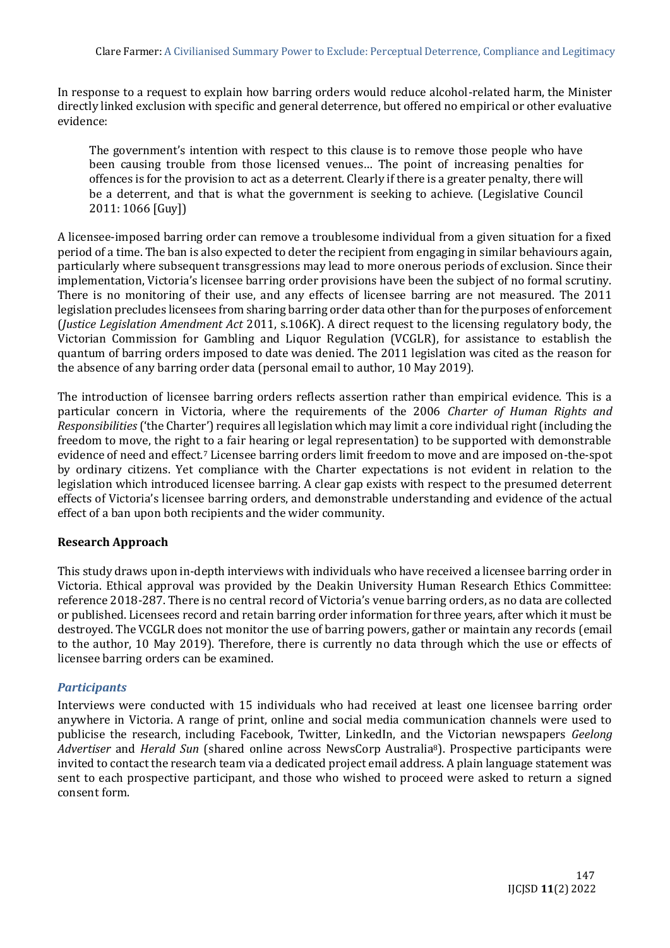In response to a request to explain how barring orders would reduce alcohol-related harm, the Minister directly linked exclusion with specific and general deterrence, but offered no empirical or other evaluative evidence:

The government's intention with respect to this clause is to remove those people who have been causing trouble from those licensed venues… The point of increasing penalties for offences is for the provision to act as a deterrent. Clearly if there is a greater penalty, there will be a deterrent, and that is what the government is seeking to achieve. (Legislative Council 2011: 1066 [Guy])

A licensee-imposed barring order can remove a troublesome individual from a given situation for a fixed period of a time. The ban is also expected to deter the recipient from engaging in similar behaviours again, particularly where subsequent transgressions may lead to more onerous periods of exclusion. Since their implementation, Victoria's licensee barring order provisions have been the subject of no formal scrutiny. There is no monitoring of their use, and any effects of licensee barring are not measured. The 2011 legislation precludes licensees from sharing barring order data other than for the purposes of enforcement (*Justice Legislation Amendment Act* 2011, s.106K). A direct request to the licensing regulatory body, the Victorian Commission for Gambling and Liquor Regulation (VCGLR), for assistance to establish the quantum of barring orders imposed to date was denied. The 2011 legislation was cited as the reason for the absence of any barring order data (personal email to author, 10 May 2019).

The introduction of licensee barring orders reflects assertion rather than empirical evidence. This is a particular concern in Victoria, where the requirements of the 2006 *Charter of Human Rights and Responsibilities*('the Charter') requires all legislation which may limit a core individual right (including the freedom to move, the right to a fair hearing or legal representation) to be supported with demonstrable evidence of need and effect.<sup>7</sup> Licensee barring orders limit freedom to move and are imposed on-the-spot by ordinary citizens. Yet compliance with the Charter expectations is not evident in relation to the legislation which introduced licensee barring. A clear gap exists with respect to the presumed deterrent effects of Victoria's licensee barring orders, and demonstrable understanding and evidence of the actual effect of a ban upon both recipients and the wider community.

## **Research Approach**

This study draws upon in-depth interviews with individuals who have received a licensee barring order in Victoria. Ethical approval was provided by the Deakin University Human Research Ethics Committee: reference 2018-287. There is no central record of Victoria's venue barring orders, as no data are collected or published. Licensees record and retain barring order information for three years, after which it must be destroyed. The VCGLR does not monitor the use of barring powers, gather or maintain any records (email to the author, 10 May 2019). Therefore, there is currently no data through which the use or effects of licensee barring orders can be examined.

## *Participants*

Interviews were conducted with 15 individuals who had received at least one licensee barring order anywhere in Victoria. A range of print, online and social media communication channels were used to publicise the research, including Facebook, Twitter, LinkedIn, and the Victorian newspapers *Geelong Advertiser* and *Herald Sun* (shared online across NewsCorp Australia8). Prospective participants were invited to contact the research team via a dedicated project email address. A plain language statement was sent to each prospective participant, and those who wished to proceed were asked to return a signed consent form.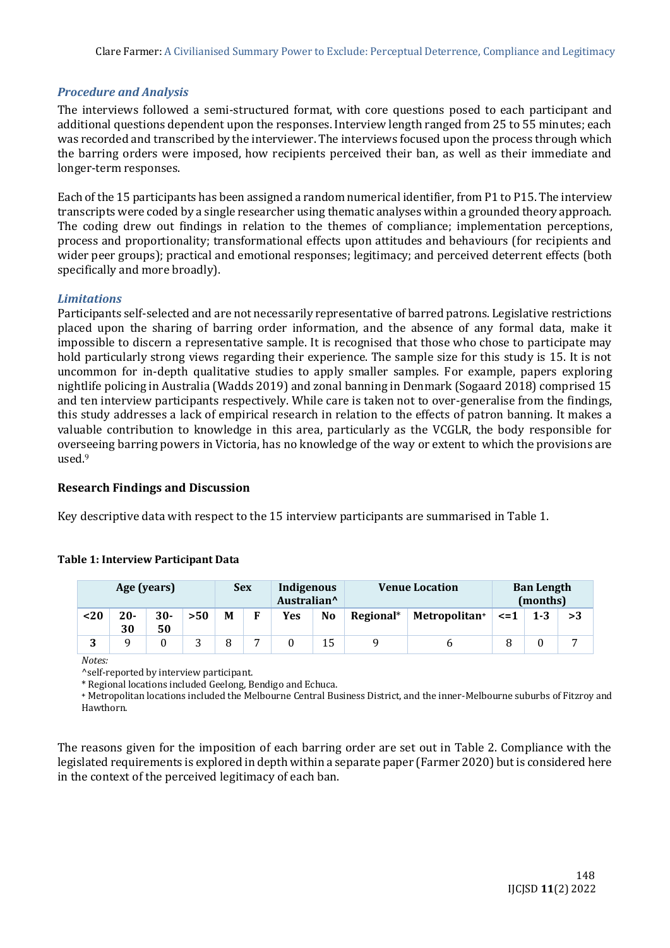## *Procedure and Analysis*

The interviews followed a semi-structured format, with core questions posed to each participant and additional questions dependent upon the responses. Interview length ranged from 25 to 55 minutes; each was recorded and transcribed by the interviewer. The interviews focused upon the process through which the barring orders were imposed, how recipients perceived their ban, as well as their immediate and longer-term responses.

Each of the 15 participants has been assigned a random numerical identifier, from P1 to P15. The interview transcripts were coded by a single researcher using thematic analyses within a grounded theory approach. The coding drew out findings in relation to the themes of compliance; implementation perceptions, process and proportionality; transformational effects upon attitudes and behaviours (for recipients and wider peer groups); practical and emotional responses; legitimacy; and perceived deterrent effects (both specifically and more broadly).

## *Limitations*

Participants self-selected and are not necessarily representative of barred patrons. Legislative restrictions placed upon the sharing of barring order information, and the absence of any formal data, make it impossible to discern a representative sample. It is recognised that those who chose to participate may hold particularly strong views regarding their experience. The sample size for this study is 15. It is not uncommon for in-depth qualitative studies to apply smaller samples. For example, papers exploring nightlife policing in Australia (Wadds 2019) and zonal banning in Denmark (Sogaard 2018) comprised 15 and ten interview participants respectively. While care is taken not to over-generalise from the findings, this study addresses a lack of empirical research in relation to the effects of patron banning. It makes a valuable contribution to knowledge in this area, particularly as the VCGLR, the body responsible for overseeing barring powers in Victoria, has no knowledge of the way or extent to which the provisions are used.<sup>9</sup>

## **Research Findings and Discussion**

**Table 1: Interview Participant Data**

Key descriptive data with respect to the 15 interview participants are summarised in Table 1.

|  | Table 1. million view I all the paint ball |  |
|--|--------------------------------------------|--|
|  |                                            |  |
|  |                                            |  |

| Age (years) |              |              | <b>Sex</b> |   | Indigenous<br>Australian <sup>^</sup> |     | <b>Venue Location</b> |           | <b>Ban Length</b><br>(months) |           |         |  |
|-------------|--------------|--------------|------------|---|---------------------------------------|-----|-----------------------|-----------|-------------------------------|-----------|---------|--|
| $20$        | $20 -$<br>30 | $30 -$<br>50 | > 50       | M | F                                     | Yes | N <sub>0</sub>        | Regional* | Metropolitan+                 | $\leq$ =1 | $1 - 3$ |  |
| 2           |              |              |            |   |                                       |     | 15                    |           |                               |           |         |  |

*Notes:*

^self-reported by interview participant.

\* Regional locations included Geelong, Bendigo and Echuca.

**<sup>+</sup>** Metropolitan locations included the Melbourne Central Business District, and the inner-Melbourne suburbs of Fitzroy and Hawthorn.

The reasons given for the imposition of each barring order are set out in Table 2. Compliance with the legislated requirements is explored in depth within a separate paper (Farmer 2020) but is considered here in the context of the perceived legitimacy of each ban.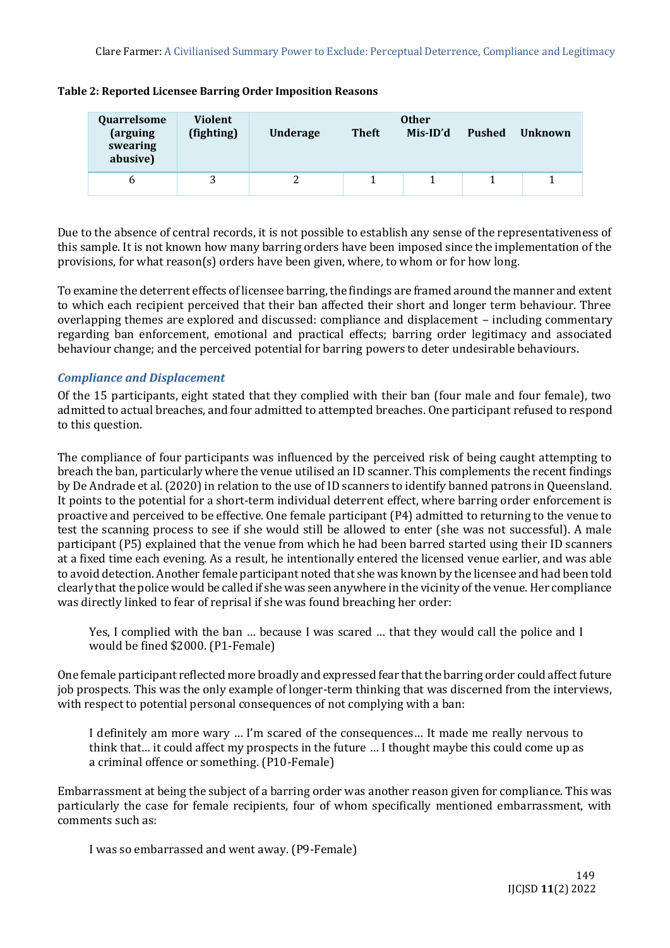| Quarrelsome<br>(arguing<br>swearing<br>abusive) | Violent<br>(fighting) | <b>Underage</b> | <b>Theft</b> | <b>Other</b><br>Mis-ID'd | Pushed | Unknown |
|-------------------------------------------------|-----------------------|-----------------|--------------|--------------------------|--------|---------|
| n                                               |                       |                 |              |                          |        |         |

**Table 2: Reported Licensee Barring Order Imposition Reasons**

Due to the absence of central records, it is not possible to establish any sense of the representativeness of this sample. It is not known how many barring orders have been imposed since the implementation of the provisions, for what reason(s) orders have been given, where, to whom or for how long.

To examine the deterrent effects of licensee barring, the findings are framed around the manner and extent to which each recipient perceived that their ban affected their short and longer term behaviour. Three overlapping themes are explored and discussed: compliance and displacement – including commentary regarding ban enforcement, emotional and practical effects; barring order legitimacy and associated behaviour change; and the perceived potential for barring powers to deter undesirable behaviours.

## *Compliance and Displacement*

Of the 15 participants, eight stated that they complied with their ban (four male and four female), two admitted to actual breaches, and four admitted to attempted breaches. One participant refused to respond to this question.

The compliance of four participants was influenced by the perceived risk of being caught attempting to breach the ban, particularly where the venue utilised an ID scanner. This complements the recent findings by De Andrade et al. (2020) in relation to the use of ID scanners to identify banned patrons in Queensland. It points to the potential for a short-term individual deterrent effect, where barring order enforcement is proactive and perceived to be effective. One female participant (P4) admitted to returning to the venue to test the scanning process to see if she would still be allowed to enter (she was not successful). A male participant (P5) explained that the venue from which he had been barred started using their ID scanners at a fixed time each evening. As a result, he intentionally entered the licensed venue earlier, and was able to avoid detection. Another female participant noted that she was known by the licensee and had been told clearly that the police would be called if she was seen anywhere in the vicinity of the venue. Her compliance was directly linked to fear of reprisal if she was found breaching her order:

Yes, I complied with the ban … because I was scared … that they would call the police and I would be fined \$2000. (P1-Female)

One female participant reflected more broadly and expressed fear that the barring order could affect future job prospects. This was the only example of longer-term thinking that was discerned from the interviews, with respect to potential personal consequences of not complying with a ban:

I definitely am more wary … I'm scared of the consequences… It made me really nervous to think that… it could affect my prospects in the future … I thought maybe this could come up as a criminal offence or something. (P10-Female)

Embarrassment at being the subject of a barring order was another reason given for compliance. This was particularly the case for female recipients, four of whom specifically mentioned embarrassment, with comments such as:

I was so embarrassed and went away. (P9-Female)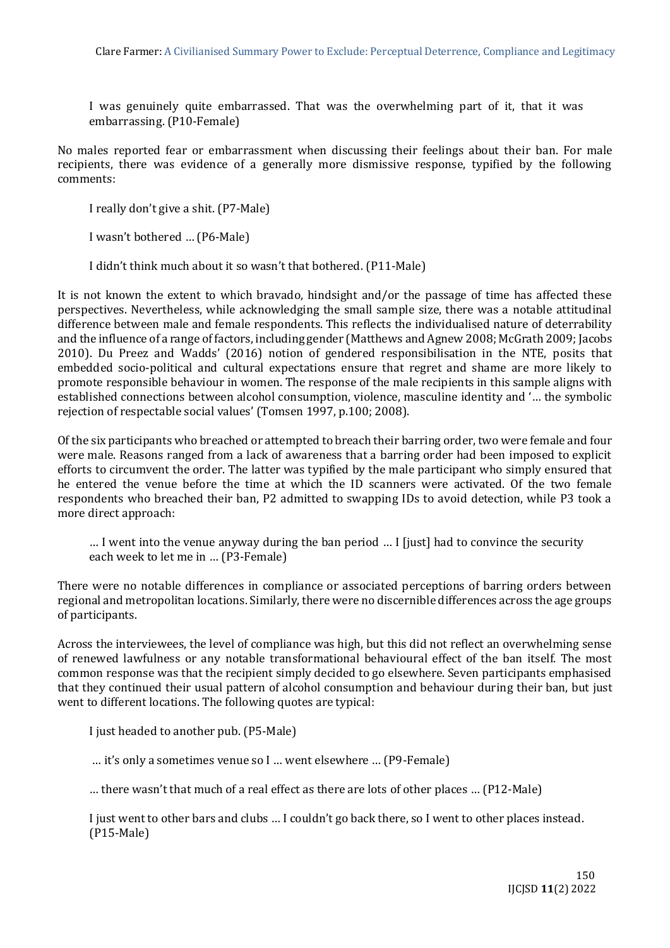I was genuinely quite embarrassed. That was the overwhelming part of it, that it was embarrassing. (P10-Female)

No males reported fear or embarrassment when discussing their feelings about their ban. For male recipients, there was evidence of a generally more dismissive response, typified by the following comments:

I really don't give a shit. (P7-Male)

I wasn't bothered … (P6-Male)

I didn't think much about it so wasn't that bothered. (P11-Male)

It is not known the extent to which bravado, hindsight and/or the passage of time has affected these perspectives. Nevertheless, while acknowledging the small sample size, there was a notable attitudinal difference between male and female respondents. This reflects the individualised nature of deterrability and the influence of a range of factors, including gender (Matthews and Agnew 2008; McGrath 2009; Jacobs 2010). Du Preez and Wadds' (2016) notion of gendered responsibilisation in the NTE, posits that embedded socio-political and cultural expectations ensure that regret and shame are more likely to promote responsible behaviour in women. The response of the male recipients in this sample aligns with established connections between alcohol consumption, violence, masculine identity and '… the symbolic rejection of respectable social values' (Tomsen 1997, p.100; 2008).

Of the six participants who breached or attempted to breach their barring order, two were female and four were male. Reasons ranged from a lack of awareness that a barring order had been imposed to explicit efforts to circumvent the order. The latter was typified by the male participant who simply ensured that he entered the venue before the time at which the ID scanners were activated. Of the two female respondents who breached their ban, P2 admitted to swapping IDs to avoid detection, while P3 took a more direct approach:

… I went into the venue anyway during the ban period … I [just] had to convince the security each week to let me in … (P3-Female)

There were no notable differences in compliance or associated perceptions of barring orders between regional and metropolitan locations. Similarly, there were no discernible differences across the age groups of participants.

Across the interviewees, the level of compliance was high, but this did not reflect an overwhelming sense of renewed lawfulness or any notable transformational behavioural effect of the ban itself. The most common response was that the recipient simply decided to go elsewhere. Seven participants emphasised that they continued their usual pattern of alcohol consumption and behaviour during their ban, but just went to different locations. The following quotes are typical:

I just headed to another pub. (P5-Male)

… it's only a sometimes venue so I … went elsewhere … (P9-Female)

… there wasn't that much of a real effect as there are lots of other places … (P12-Male)

I just went to other bars and clubs … I couldn't go back there, so I went to other places instead. (P15-Male)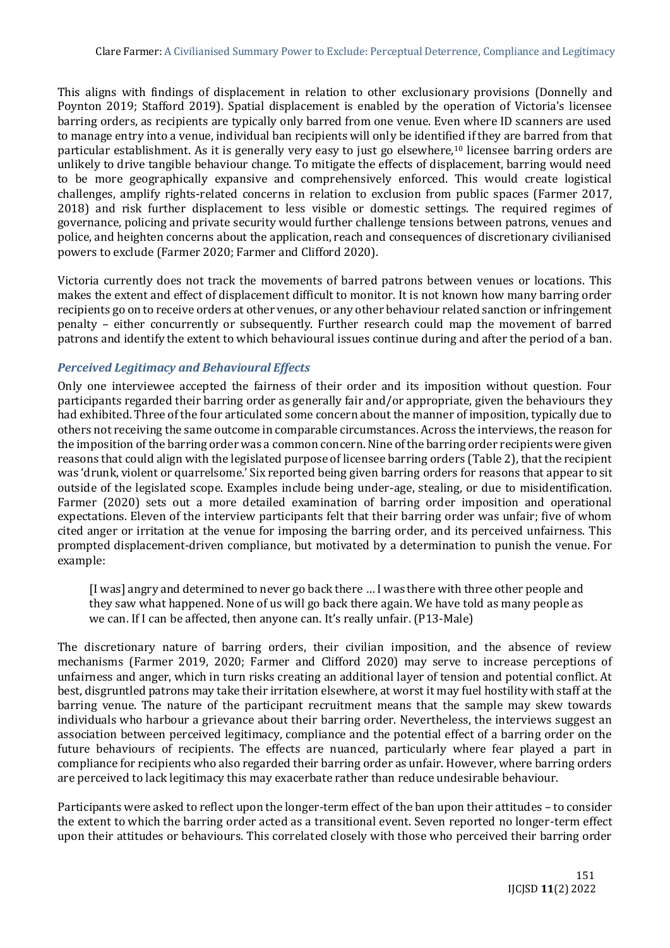This aligns with findings of displacement in relation to other exclusionary provisions (Donnelly and Poynton 2019; Stafford 2019). Spatial displacement is enabled by the operation of Victoria's licensee barring orders, as recipients are typically only barred from one venue. Even where ID scanners are used to manage entry into a venue, individual ban recipients will only be identified if they are barred from that particular establishment. As it is generally very easy to just go elsewhere,<sup>10</sup> licensee barring orders are unlikely to drive tangible behaviour change. To mitigate the effects of displacement, barring would need to be more geographically expansive and comprehensively enforced. This would create logistical challenges, amplify rights-related concerns in relation to exclusion from public spaces (Farmer 2017, 2018) and risk further displacement to less visible or domestic settings. The required regimes of governance, policing and private security would further challenge tensions between patrons, venues and police, and heighten concerns about the application, reach and consequences of discretionary civilianised powers to exclude (Farmer 2020; Farmer and Clifford 2020).

Victoria currently does not track the movements of barred patrons between venues or locations. This makes the extent and effect of displacement difficult to monitor. It is not known how many barring order recipients go on to receive orders at other venues, or any other behaviour related sanction or infringement penalty – either concurrently or subsequently. Further research could map the movement of barred patrons and identify the extent to which behavioural issues continue during and after the period of a ban.

## *Perceived Legitimacy and Behavioural Effects*

Only one interviewee accepted the fairness of their order and its imposition without question. Four participants regarded their barring order as generally fair and/or appropriate, given the behaviours they had exhibited. Three of the four articulated some concern about the manner of imposition, typically due to others not receiving the same outcome in comparable circumstances. Across the interviews, the reason for the imposition of the barring order was a common concern. Nine of the barring order recipients were given reasons that could align with the legislated purpose of licensee barring orders (Table 2), that the recipient was 'drunk, violent or quarrelsome.' Six reported being given barring orders for reasons that appear to sit outside of the legislated scope. Examples include being under-age, stealing, or due to misidentification. Farmer (2020) sets out a more detailed examination of barring order imposition and operational expectations. Eleven of the interview participants felt that their barring order was unfair; five of whom cited anger or irritation at the venue for imposing the barring order, and its perceived unfairness. This prompted displacement-driven compliance, but motivated by a determination to punish the venue. For example:

[I was] angry and determined to never go back there … I was there with three other people and they saw what happened. None of us will go back there again. We have told as many people as we can. If I can be affected, then anyone can. It's really unfair. (P13-Male)

The discretionary nature of barring orders, their civilian imposition, and the absence of review mechanisms (Farmer 2019, 2020; Farmer and Clifford 2020) may serve to increase perceptions of unfairness and anger, which in turn risks creating an additional layer of tension and potential conflict. At best, disgruntled patrons may take their irritation elsewhere, at worst it may fuel hostility with staff at the barring venue. The nature of the participant recruitment means that the sample may skew towards individuals who harbour a grievance about their barring order. Nevertheless, the interviews suggest an association between perceived legitimacy, compliance and the potential effect of a barring order on the future behaviours of recipients. The effects are nuanced, particularly where fear played a part in compliance for recipients who also regarded their barring order as unfair. However, where barring orders are perceived to lack legitimacy this may exacerbate rather than reduce undesirable behaviour.

Participants were asked to reflect upon the longer-term effect of the ban upon their attitudes – to consider the extent to which the barring order acted as a transitional event. Seven reported no longer-term effect upon their attitudes or behaviours. This correlated closely with those who perceived their barring order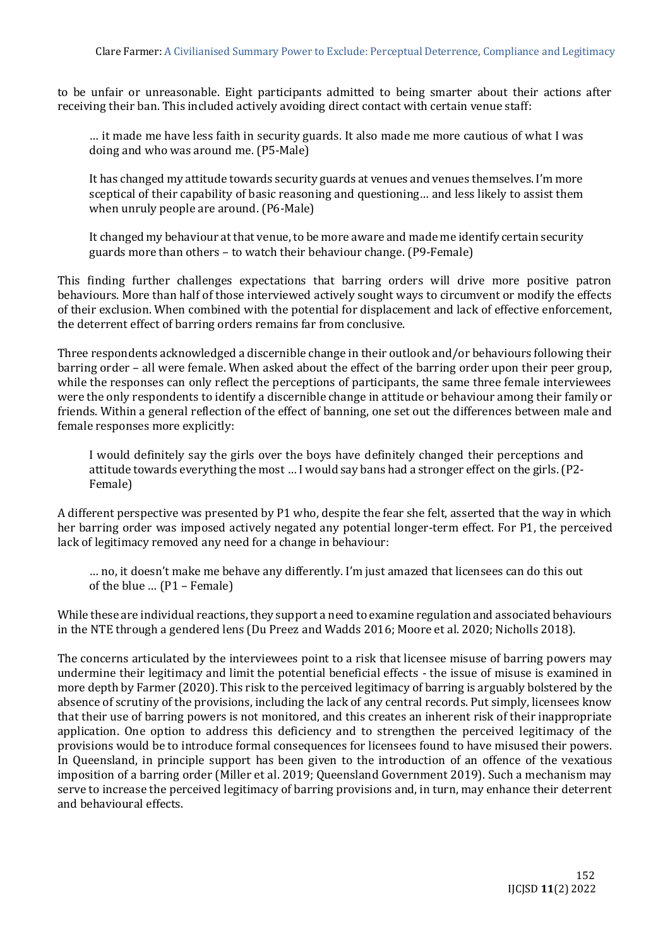to be unfair or unreasonable. Eight participants admitted to being smarter about their actions after receiving their ban. This included actively avoiding direct contact with certain venue staff:

… it made me have less faith in security guards. It also made me more cautious of what I was doing and who was around me. (P5-Male)

It has changed my attitude towards security guards at venues and venues themselves. I'm more sceptical of their capability of basic reasoning and questioning… and less likely to assist them when unruly people are around. (P6-Male)

It changed my behaviour at that venue, to be more aware and made me identify certain security guards more than others – to watch their behaviour change. (P9-Female)

This finding further challenges expectations that barring orders will drive more positive patron behaviours. More than half of those interviewed actively sought ways to circumvent or modify the effects of their exclusion. When combined with the potential for displacement and lack of effective enforcement, the deterrent effect of barring orders remains far from conclusive.

Three respondents acknowledged a discernible change in their outlook and/or behaviours following their barring order – all were female. When asked about the effect of the barring order upon their peer group, while the responses can only reflect the perceptions of participants, the same three female interviewees were the only respondents to identify a discernible change in attitude or behaviour among their family or friends. Within a general reflection of the effect of banning, one set out the differences between male and female responses more explicitly:

I would definitely say the girls over the boys have definitely changed their perceptions and attitude towards everything the most … I would say bans had a stronger effect on the girls.(P2- Female)

A different perspective was presented by P1 who, despite the fear she felt, asserted that the way in which her barring order was imposed actively negated any potential longer-term effect. For P1, the perceived lack of legitimacy removed any need for a change in behaviour:

… no, it doesn't make me behave any differently. I'm just amazed that licensees can do this out of the blue … (P1 – Female)

While these are individual reactions, they support a need to examine regulation and associated behaviours in the NTE through a gendered lens (Du Preez and Wadds 2016; Moore et al. 2020; Nicholls 2018).

The concerns articulated by the interviewees point to a risk that licensee misuse of barring powers may undermine their legitimacy and limit the potential beneficial effects - the issue of misuse is examined in more depth by Farmer (2020). This risk to the perceived legitimacy of barring is arguably bolstered by the absence of scrutiny of the provisions, including the lack of any central records. Put simply, licensees know that their use of barring powers is not monitored, and this creates an inherent risk of their inappropriate application. One option to address this deficiency and to strengthen the perceived legitimacy of the provisions would be to introduce formal consequences for licensees found to have misused their powers. In Queensland, in principle support has been given to the introduction of an offence of the vexatious imposition of a barring order (Miller et al. 2019; Queensland Government 2019). Such a mechanism may serve to increase the perceived legitimacy of barring provisions and, in turn, may enhance their deterrent and behavioural effects.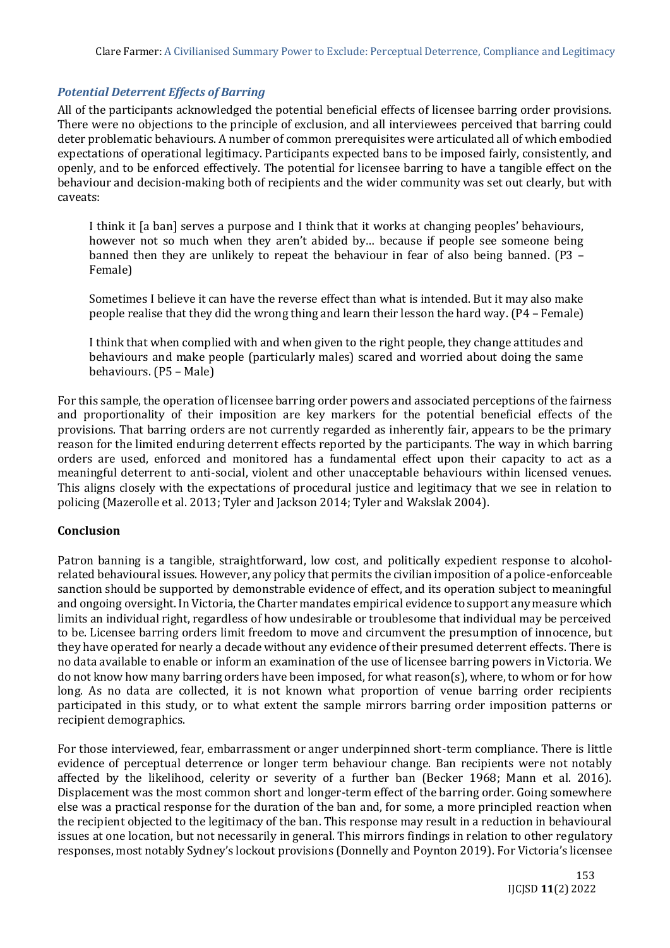## *Potential Deterrent Effects of Barring*

All of the participants acknowledged the potential beneficial effects of licensee barring order provisions. There were no objections to the principle of exclusion, and all interviewees perceived that barring could deter problematic behaviours. A number of common prerequisites were articulated all of which embodied expectations of operational legitimacy. Participants expected bans to be imposed fairly, consistently, and openly, and to be enforced effectively. The potential for licensee barring to have a tangible effect on the behaviour and decision-making both of recipients and the wider community was set out clearly, but with caveats:

I think it [a ban] serves a purpose and I think that it works at changing peoples' behaviours, however not so much when they aren't abided by… because if people see someone being banned then they are unlikely to repeat the behaviour in fear of also being banned. (P3 – Female)

Sometimes I believe it can have the reverse effect than what is intended. But it may also make people realise that they did the wrong thing and learn their lesson the hard way.(P4 – Female)

I think that when complied with and when given to the right people, they change attitudes and behaviours and make people (particularly males) scared and worried about doing the same behaviours. (P5 – Male)

For this sample, the operation of licensee barring order powers and associated perceptions of the fairness and proportionality of their imposition are key markers for the potential beneficial effects of the provisions. That barring orders are not currently regarded as inherently fair, appears to be the primary reason for the limited enduring deterrent effects reported by the participants. The way in which barring orders are used, enforced and monitored has a fundamental effect upon their capacity to act as a meaningful deterrent to anti-social, violent and other unacceptable behaviours within licensed venues. This aligns closely with the expectations of procedural justice and legitimacy that we see in relation to policing (Mazerolle et al. 2013; Tyler and Jackson 2014; Tyler and Wakslak 2004).

## **Conclusion**

Patron banning is a tangible, straightforward, low cost, and politically expedient response to alcoholrelated behavioural issues. However, any policy that permits the civilian imposition of a police-enforceable sanction should be supported by demonstrable evidence of effect, and its operation subject to meaningful and ongoing oversight. In Victoria, the Charter mandates empirical evidence to support any measure which limits an individual right, regardless of how undesirable or troublesome that individual may be perceived to be. Licensee barring orders limit freedom to move and circumvent the presumption of innocence, but they have operated for nearly a decade without any evidence of their presumed deterrent effects. There is no data available to enable or inform an examination of the use of licensee barring powers in Victoria. We do not know how many barring orders have been imposed, for what reason(s), where, to whom or for how long. As no data are collected, it is not known what proportion of venue barring order recipients participated in this study, or to what extent the sample mirrors barring order imposition patterns or recipient demographics.

For those interviewed, fear, embarrassment or anger underpinned short-term compliance. There is little evidence of perceptual deterrence or longer term behaviour change. Ban recipients were not notably affected by the likelihood, celerity or severity of a further ban (Becker 1968; Mann et al. 2016). Displacement was the most common short and longer-term effect of the barring order. Going somewhere else was a practical response for the duration of the ban and, for some, a more principled reaction when the recipient objected to the legitimacy of the ban. This response may result in a reduction in behavioural issues at one location, but not necessarily in general. This mirrors findings in relation to other regulatory responses, most notably Sydney's lockout provisions (Donnelly and Poynton 2019). For Victoria's licensee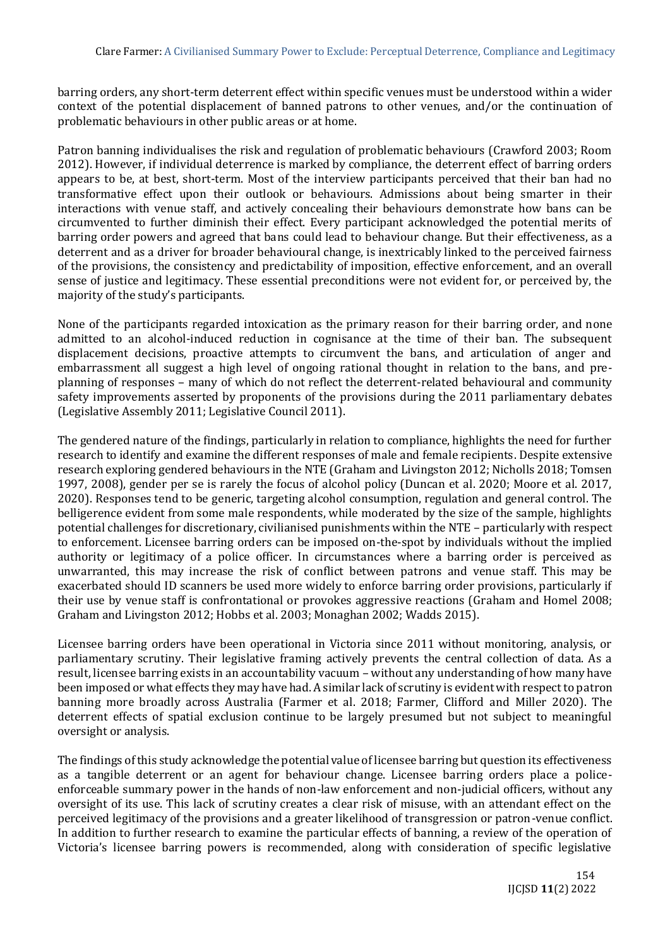barring orders, any short-term deterrent effect within specific venues must be understood within a wider context of the potential displacement of banned patrons to other venues, and/or the continuation of problematic behaviours in other public areas or at home.

Patron banning individualises the risk and regulation of problematic behaviours (Crawford 2003; Room 2012). However, if individual deterrence is marked by compliance, the deterrent effect of barring orders appears to be, at best, short-term. Most of the interview participants perceived that their ban had no transformative effect upon their outlook or behaviours. Admissions about being smarter in their interactions with venue staff, and actively concealing their behaviours demonstrate how bans can be circumvented to further diminish their effect. Every participant acknowledged the potential merits of barring order powers and agreed that bans could lead to behaviour change. But their effectiveness, as a deterrent and as a driver for broader behavioural change, is inextricably linked to the perceived fairness of the provisions, the consistency and predictability of imposition, effective enforcement, and an overall sense of justice and legitimacy. These essential preconditions were not evident for, or perceived by, the majority of the study's participants.

None of the participants regarded intoxication as the primary reason for their barring order, and none admitted to an alcohol-induced reduction in cognisance at the time of their ban. The subsequent displacement decisions, proactive attempts to circumvent the bans, and articulation of anger and embarrassment all suggest a high level of ongoing rational thought in relation to the bans, and preplanning of responses – many of which do not reflect the deterrent-related behavioural and community safety improvements asserted by proponents of the provisions during the 2011 parliamentary debates (Legislative Assembly 2011; Legislative Council 2011).

The gendered nature of the findings, particularly in relation to compliance, highlights the need for further research to identify and examine the different responses of male and female recipients. Despite extensive research exploring gendered behaviours in the NTE (Graham and Livingston 2012; Nicholls 2018; Tomsen 1997, 2008), gender per se is rarely the focus of alcohol policy (Duncan et al. 2020; Moore et al. 2017, 2020). Responses tend to be generic, targeting alcohol consumption, regulation and general control. The belligerence evident from some male respondents, while moderated by the size of the sample, highlights potential challenges for discretionary, civilianised punishments within the NTE – particularly with respect to enforcement. Licensee barring orders can be imposed on-the-spot by individuals without the implied authority or legitimacy of a police officer. In circumstances where a barring order is perceived as unwarranted, this may increase the risk of conflict between patrons and venue staff. This may be exacerbated should ID scanners be used more widely to enforce barring order provisions, particularly if their use by venue staff is confrontational or provokes aggressive reactions (Graham and Homel 2008; Graham and Livingston 2012; Hobbs et al. 2003; Monaghan 2002; Wadds 2015).

Licensee barring orders have been operational in Victoria since 2011 without monitoring, analysis, or parliamentary scrutiny. Their legislative framing actively prevents the central collection of data. As a result, licensee barring exists in an accountability vacuum – without any understanding of how many have been imposed or what effects they may have had. A similar lack of scrutiny is evident with respect to patron banning more broadly across Australia (Farmer et al. 2018; Farmer, Clifford and Miller 2020). The deterrent effects of spatial exclusion continue to be largely presumed but not subject to meaningful oversight or analysis.

The findings of this study acknowledge the potential value of licensee barring but question its effectiveness as a tangible deterrent or an agent for behaviour change. Licensee barring orders place a policeenforceable summary power in the hands of non-law enforcement and non-judicial officers, without any oversight of its use. This lack of scrutiny creates a clear risk of misuse, with an attendant effect on the perceived legitimacy of the provisions and a greater likelihood of transgression or patron-venue conflict. In addition to further research to examine the particular effects of banning, a review of the operation of Victoria's licensee barring powers is recommended, along with consideration of specific legislative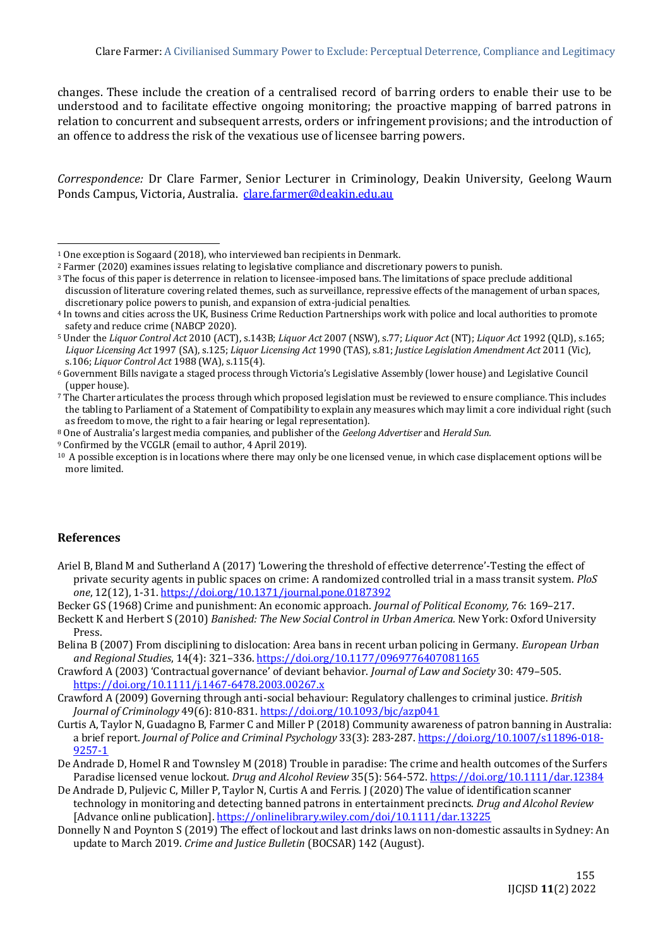changes. These include the creation of a centralised record of barring orders to enable their use to be understood and to facilitate effective ongoing monitoring; the proactive mapping of barred patrons in relation to concurrent and subsequent arrests, orders or infringement provisions; and the introduction of an offence to address the risk of the vexatious use of licensee barring powers.

*Correspondence:* Dr Clare Farmer, Senior Lecturer in Criminology, Deakin University, Geelong Waurn Ponds Campus, Victoria, Australia. [clare.farmer@deakin.edu.au](mailto:clare.farmer@deakin.edu.au)

## **References**

- Ariel B, Bland M and Sutherland A (2017) 'Lowering the threshold of effective deterrence'-Testing the effect of private security agents in public spaces on crime: A randomized controlled trial in a mass transit system. *PloS one*, 12(12), 1-31[. https://doi.org/10.1371/journal.pone.0187392](https://doi.org/10.1371/journal.pone.0187392)
- Becker GS (1968) Crime and punishment: An economic approach. *Journal of Political Economy,* 76: 169–217.
- Beckett K and Herbert S (2010) *Banished: The New Social Control in Urban America.* New York: Oxford University Press.
- Belina B (2007) From disciplining to dislocation: Area bans in recent urban policing in Germany. *European Urban and Regional Studies*, 14(4): 321–336[. https://doi.org/10.1177/0969776407081165](https://doi.org/10.1177/0969776407081165)

Crawford A (2003) 'Contractual governance' of deviant behavior. *Journal of Law and Society* 30: 479–505. <https://doi.org/10.1111/j.1467-6478.2003.00267.x>

- Crawford A (2009) Governing through anti-social behaviour: Regulatory challenges to criminal justice. *British Journal of Criminology* 49(6): 810-831[. https://doi.org/10.1093/bjc/azp041](https://doi.org/10.1093/bjc/azp041)
- Curtis A, Taylor N, Guadagno B, Farmer C and Miller P (2018) Community awareness of patron banning in Australia: a brief report. *Journal of Police and Criminal Psychology* 33(3): 283-287[. https://doi.org/10.1007/s11896-018-](https://doi.org/10.1007/s11896-018-9257-1) [9257-1](https://doi.org/10.1007/s11896-018-9257-1)
- De Andrade D, Homel R and Townsley M (2018) Trouble in paradise: The crime and health outcomes of the Surfers Paradise licensed venue lockout. *Drug and Alcohol Review* 35(5): 564-572[. https://doi.org/10.1111/dar.12384](https://doi.org/10.1111/dar.12384)
- De Andrade D, Puljevic C, Miller P, Taylor N, Curtis A and Ferris. J (2020) The value of identification scanner technology in monitoring and detecting banned patrons in entertainment precincts. *Drug and Alcohol Review* [Advance online publication]. <https://onlinelibrary.wiley.com/doi/10.1111/dar.13225>
- Donnelly N and Poynton S (2019) The effect of lockout and last drinks laws on non-domestic assaults in Sydney: An update to March 2019. *Crime and Justice Bulletin* (BOCSAR) 142 (August).

<sup>1</sup> One exception is Sogaard (2018), who interviewed ban recipients in Denmark.

<sup>2</sup> Farmer (2020) examines issues relating to legislative compliance and discretionary powers to punish.

<sup>3</sup> The focus of this paper is deterrence in relation to licensee-imposed bans. The limitations of space preclude additional discussion of literature covering related themes, such as surveillance, repressive effects of the management of urban spaces, discretionary police powers to punish, and expansion of extra-judicial penalties.

<sup>4</sup> In towns and cities across the UK, Business Crime Reduction Partnerships work with police and local authorities to promote safety and reduce crime (NABCP 2020).

<sup>5</sup> Under the *Liquor Control Act* 2010 (ACT), s.143B; *Liquor Act* 2007 (NSW), s.77; *Liquor Act* (NT); *Liquor Act* 1992 (QLD), s.165; *Liquor Licensing Act* 1997 (SA), s.125; *Liquor Licensing Act* 1990 (TAS), s.81; *Justice Legislation Amendment Act* 2011 (Vic), s.106; *Liquor Control Act* 1988 (WA), s.115(4).

<sup>6</sup> Government Bills navigate a staged process through Victoria's Legislative Assembly (lower house) and Legislative Council (upper house).

<sup>7</sup> The Charter articulates the process through which proposed legislation must be reviewed to ensure compliance. This includes the tabling to Parliament of a Statement of Compatibility to explain any measures which may limit a core individual right (such as freedom to move, the right to a fair hearing or legal representation).

<sup>8</sup> One of Australia's largest media companies, and publisher of the *Geelong Advertiser* and *Herald Sun.*

<sup>9</sup> Confirmed by the VCGLR (email to author, 4 April 2019).

<sup>10</sup> A possible exception is in locations where there may only be one licensed venue, in which case displacement options will be more limited.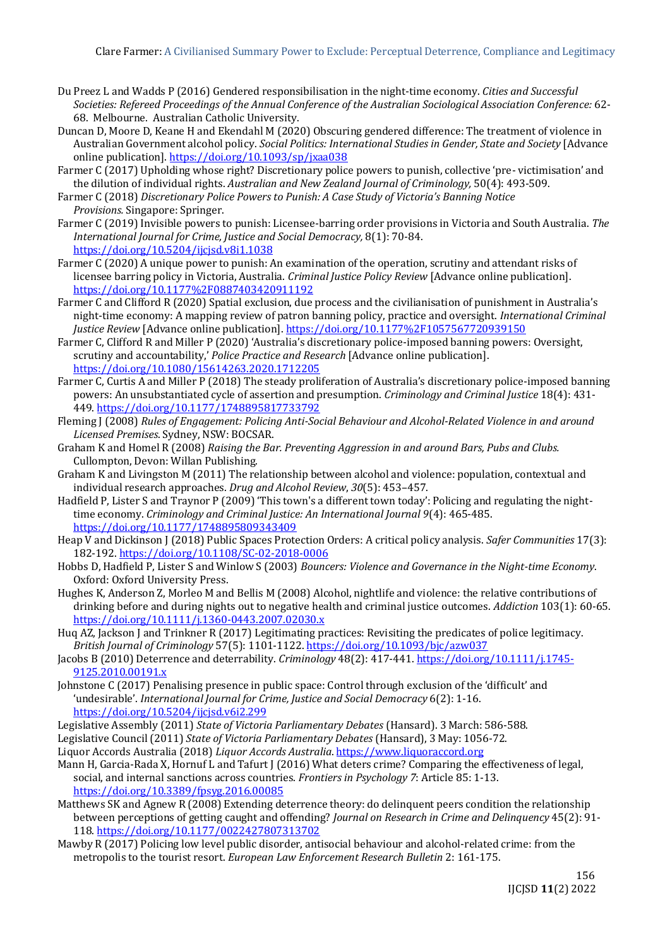- Du Preez L and Wadds P (2016) Gendered responsibilisation in the night-time economy. *Cities and Successful Societies: Refereed Proceedings of the Annual Conference of the Australian Sociological Association Conference:* 62- 68. Melbourne. Australian Catholic University.
- Duncan D, Moore D, Keane H and Ekendahl M (2020) Obscuring gendered difference: The treatment of violence in Australian Government alcohol policy. *Social Politics: International Studies in Gender, State and Society* [Advance online publication]. <https://doi.org/10.1093/sp/jxaa038>
- Farmer C (2017) Upholding whose right? Discretionary police powers to punish, collective 'pre- victimisation' and the dilution of individual rights. *Australian and New Zealand Journal of Criminology,* 50(4): 493-509.
- Farmer C (2018) *Discretionary Police Powers to Punish: A Case Study of Victoria's Banning Notice Provisions.* Singapore: Springer.
- Farmer C (2019) Invisible powers to punish: Licensee-barring order provisions in Victoria and South Australia. *The International Journal for Crime, Justice and Social Democracy,* 8(1): 70-84. <https://doi.org/10.5204/ijcjsd.v8i1.1038>
- Farmer C (2020) A unique power to punish: An examination of the operation, scrutiny and attendant risks of licensee barring policy in Victoria, Australia. *Criminal Justice Policy Review* [Advance online publication]. <https://doi.org/10.1177%2F0887403420911192>
- Farmer C and Clifford R (2020) Spatial exclusion, due process and the civilianisation of punishment in Australia's night-time economy: A mapping review of patron banning policy, practice and oversight. *International Criminal Justice Review* [Advance online publication]. <https://doi.org/10.1177%2F1057567720939150>
- Farmer C, Clifford R and Miller P (2020) 'Australia's discretionary police-imposed banning powers: Oversight, scrutiny and accountability,' *Police Practice and Research* [Advance online publication]. <https://doi.org/10.1080/15614263.2020.1712205>
- Farmer C, Curtis A and Miller P (2018) The steady proliferation of Australia's discretionary police-imposed banning powers: An unsubstantiated cycle of assertion and presumption. *Criminology and Criminal Justice* 18(4): 431- 449. [https://doi.org/10.1177/1748895817733792](https://doi.org/10.1177%2F1748895817733792)
- Fleming J (2008) *Rules of Engagement: Policing Anti-Social Behaviour and Alcohol-Related Violence in and around Licensed Premises*. Sydney, NSW: BOCSAR.
- Graham K and Homel R (2008) *Raising the Bar. Preventing Aggression in and around Bars, Pubs and Clubs.*  Cullompton, Devon: Willan Publishing.
- Graham K and Livingston M (2011) The relationship between alcohol and violence: population, contextual and individual research approaches. *Drug and Alcohol Review*, *30*(5): 453–457.
- Hadfield P, Lister S and Traynor P (2009) 'This town's a different town today': Policing and regulating the nighttime economy. *Criminology and Criminal Justice: An International Journal 9*(4): 465-485. [https://doi.org/10.1177/1748895809343409](https://doi.org/10.1177%2F1748895809343409)
- Heap V and Dickinson J (2018) Public Spaces Protection Orders: A critical policy analysis. *Safer Communities* 17(3): 182-192.<https://doi.org/10.1108/SC-02-2018-0006>
- Hobbs D, Hadfield P, Lister S and Winlow S (2003) *Bouncers: Violence and Governance in the Night-time Economy*. Oxford: Oxford University Press.
- Hughes K, Anderson Z, Morleo M and Bellis M (2008) Alcohol, nightlife and violence: the relative contributions of drinking before and during nights out to negative health and criminal justice outcomes. *Addiction* 103(1): 60-65. <https://doi.org/10.1111/j.1360-0443.2007.02030.x>
- Huq AZ, Jackson J and Trinkner R (2017) Legitimating practices: Revisiting the predicates of police legitimacy. *British Journal of Criminology* 57(5): 1101-1122. <https://doi.org/10.1093/bjc/azw037>
- Jacobs B (2010) Deterrence and deterrability. *Criminology* 48(2): 417-441[. https://doi.org/10.1111/j.1745-](https://doi.org/10.1111/j.1745-9125.2010.00191.x) [9125.2010.00191.x](https://doi.org/10.1111/j.1745-9125.2010.00191.x)
- Johnstone C (2017) Penalising presence in public space: Control through exclusion of the 'difficult' and 'undesirable'. *International Journal for Crime, Justice and Social Democracy* 6(2): 1‐16. <https://doi.org/10.5204/ijcjsd.v6i2.299>
- Legislative Assembly (2011) *State of Victoria Parliamentary Debates* (Hansard). 3 March: 586-588.
- Legislative Council (2011) *State of Victoria Parliamentary Debates* (Hansard), 3 May: 1056-72.
- Liquor Accords Australia (2018) *Liquor Accords Australia*. [https://www.liquoraccord.org](https://www.liquoraccord.org/)
- Mann H, Garcia-Rada X, Hornuf L and Tafurt J (2016) What deters crime? Comparing the effectiveness of legal, social, and internal sanctions across countries. *Frontiers in Psychology 7*: Article 85: 1-13. <https://doi.org/10.3389/fpsyg.2016.00085>
- Matthews SK and Agnew R (2008) Extending deterrence theory: do delinquent peers condition the relationship between perceptions of getting caught and offending? *Journal on Research in Crime and Delinquency* 45(2): 91- 118.<https://doi.org/10.1177/0022427807313702>
- Mawby R (2017) Policing low level public disorder, antisocial behaviour and alcohol-related crime: from the metropolis to the tourist resort. *European Law Enforcement Research Bulletin* 2: 161-175.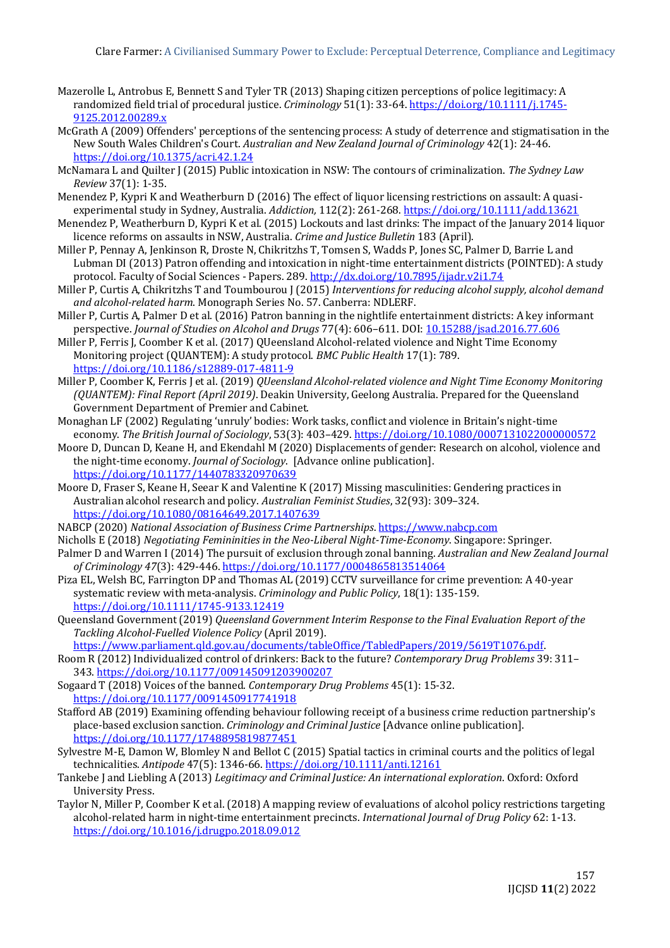- Mazerolle L, Antrobus E, Bennett S and Tyler TR (2013) Shaping citizen perceptions of police legitimacy: A randomized field trial of procedural justice. *Criminology* 51(1): 33-64. [https://doi.org/10.1111/j.1745-](https://doi.org/10.1111/j.1745-9125.2012.00289.x) [9125.2012.00289.x](https://doi.org/10.1111/j.1745-9125.2012.00289.x)
- McGrath A (2009) Offenders' perceptions of the sentencing process: A study of deterrence and stigmatisation in the New South Wales Children's Court. *Australian and New Zealand Journal of Criminology* 42(1): 24-46. [https://doi.org/10.1375/acri.42.1.24](https://doi.org/10.1375%2Facri.42.1.24)
- McNamara L and Quilter J (2015) Public intoxication in NSW: The contours of criminalization. *The Sydney Law Review* 37(1): 1-35.
- Menendez P, Kypri K and Weatherburn D (2016) The effect of liquor licensing restrictions on assault: A quasiexperimental study in Sydney, Australia. *Addiction,* 112(2): 261-268.<https://doi.org/10.1111/add.13621>
- Menendez P, Weatherburn D, Kypri K et al. (2015) Lockouts and last drinks: The impact of the January 2014 liquor licence reforms on assaults in NSW, Australia. *Crime and Justice Bulletin* 183 (April).
- Miller P, Pennay A, Jenkinson R, Droste N, Chikritzhs T, Tomsen S, Wadds P, Jones SC, Palmer D, Barrie L and Lubman DI (2013) Patron offending and intoxication in night-time entertainment districts (POINTED): A study protocol. Faculty of Social Sciences - Papers. 289[. http://dx.doi.org/10.7895/ijadr.v2i1.74](http://dx.doi.org/10.7895/ijadr.v2i1.74)
- Miller P, Curtis A, Chikritzhs T and Toumbourou J (2015) *Interventions for reducing alcohol supply, alcohol demand and alcohol-related harm*. Monograph Series No. 57. Canberra: NDLERF.
- Miller P, Curtis A, Palmer D et al. (2016) Patron banning in the nightlife entertainment districts: A key informant perspective. *Journal of Studies on Alcohol and Drugs* 77(4): 606–611. DOI[: 10.15288/jsad.2016.77.606](https://doi.org/10.15288/jsad.2016.77.606)
- Miller P, Ferris J, Coomber K et al. (2017) QUeensland Alcohol-related violence and Night Time Economy Monitoring project (QUANTEM): A study protocol. *BMC Public Health* 17(1): 789. <https://doi.org/10.1186/s12889-017-4811-9>
- Miller P, Coomber K, Ferris J et al. (2019) *QUeensland Alcohol-related violence and Night Time Economy Monitoring (QUANTEM): Final Report (April 2019)*. Deakin University, Geelong Australia. Prepared for the Queensland Government Department of Premier and Cabinet.
- Monaghan LF (2002) Regulating 'unruly' bodies: Work tasks, conflict and violence in Britain's night-time economy. *The British Journal of Sociology*, 53(3): 403–429. <https://doi.org/10.1080/0007131022000000572>
- Moore D, Duncan D, Keane H, and Ekendahl M (2020) Displacements of gender: Research on alcohol, violence and the night-time economy. *Journal of Sociology*. [Advance online publication]. <https://doi.org/10.1177/1440783320970639>
- Moore D, Fraser S, Keane H, Seear K and Valentine K (2017) Missing masculinities: Gendering practices in Australian alcohol research and policy. *Australian Feminist Studies*, 32(93): 309–324. <https://doi.org/10.1080/08164649.2017.1407639>
- NABCP (2020) *National Association of Business Crime Partnerships*[. https://www.nabcp.com](https://www.nabcp.com/)
- Nicholls E (2018) *Negotiating Femininities in the Neo-Liberal Night-Time-Economy*. Singapore: Springer.
- Palmer D and Warren I (2014) The pursuit of exclusion through zonal banning. *Australian and New Zealand Journal of Criminology 47*(3): 429-446. [https://doi.org/10.1177/0004865813514064](https://doi.org/10.1177%2F0004865813514064)
- Piza EL, Welsh BC, Farrington DP and Thomas AL (2019) CCTV surveillance for crime prevention: A 40‐year systematic review with meta‐analysis. *Criminology and Public Policy*, 18(1): 135-159. <https://doi.org/10.1111/1745-9133.12419>
- Queensland Government (2019) *Queensland Government Interim Response to the Final Evaluation Report of the Tackling Alcohol-Fuelled Violence Policy* (April 2019).
	- [https://www.parliament.qld.gov.au/documents/tableOffice/TabledPapers/2019/5619T1076.pdf.](https://www.parliament.qld.gov.au/documents/tableOffice/TabledPapers/2019/5619T1076.pdf)
- Room R (2012) Individualized control of drinkers: Back to the future? *Contemporary Drug Problems* 39: 311– 343. [https://doi.org/10.1177/009145091203900207](https://doi.org/10.1177%2F009145091203900207)

Sogaard T (2018) Voices of the banned. *Contemporary Drug Problems* 45(1): 15-32. [https://doi.org/10.1177/0091450917741918](https://doi.org/10.1177%2F0091450917741918)

- Stafford AB (2019) Examining offending behaviour following receipt of a business crime reduction partnership's place-based exclusion sanction. *Criminology and Criminal Justice* [Advance online publication]. [https://doi.org/10.1177/1748895819877451](https://doi.org/10.1177%2F1748895819877451)
- Sylvestre M-E, Damon W, Blomley N and Bellot C (2015) Spatial tactics in criminal courts and the politics of legal technicalities. *Antipode* 47(5): 1346-66.<https://doi.org/10.1111/anti.12161>
- Tankebe J and Liebling A (2013) *Legitimacy and Criminal Justice: An international exploration*. Oxford: Oxford University Press.
- Taylor N, Miller P, Coomber K et al. (2018) A mapping review of evaluations of alcohol policy restrictions targeting alcohol-related harm in night-time entertainment precincts. *International Journal of Drug Policy* 62: 1-13. <https://doi.org/10.1016/j.drugpo.2018.09.012>